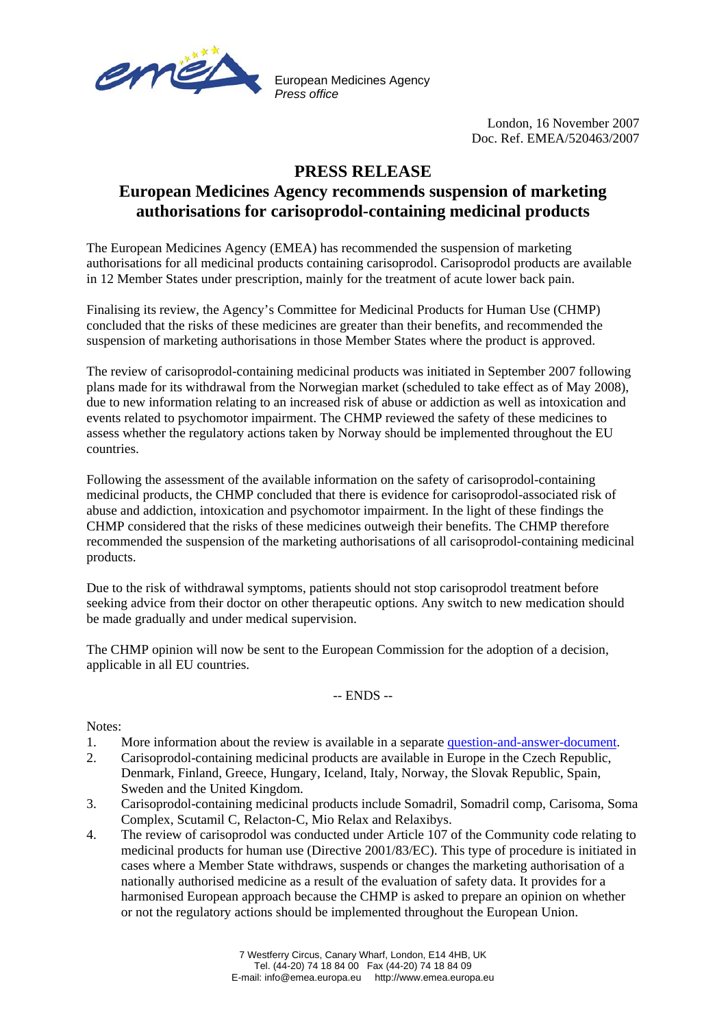

European Medicines Agency *Press office*

> London, 16 November 2007 Doc. Ref. EMEA/520463/2007

## **PRESS RELEASE**

## **European Medicines Agency recommends suspension of marketing authorisations for carisoprodol-containing medicinal products**

The European Medicines Agency (EMEA) has recommended the suspension of marketing authorisations for all medicinal products containing carisoprodol. Carisoprodol products are available in 12 Member States under prescription, mainly for the treatment of acute lower back pain.

Finalising its review, the Agency's Committee for Medicinal Products for Human Use (CHMP) concluded that the risks of these medicines are greater than their benefits, and recommended the suspension of marketing authorisations in those Member States where the product is approved.

The review of carisoprodol-containing medicinal products was initiated in September 2007 following plans made for its withdrawal from the Norwegian market (scheduled to take effect as of May 2008), due to new information relating to an increased risk of abuse or addiction as well as intoxication and events related to psychomotor impairment. The CHMP reviewed the safety of these medicines to assess whether the regulatory actions taken by Norway should be implemented throughout the EU countries.

Following the assessment of the available information on the safety of carisoprodol-containing medicinal products, the CHMP concluded that there is evidence for carisoprodol-associated risk of abuse and addiction, intoxication and psychomotor impairment. In the light of these findings the CHMP considered that the risks of these medicines outweigh their benefits. The CHMP therefore recommended the suspension of the marketing authorisations of all carisoprodol-containing medicinal products.

Due to the risk of withdrawal symptoms, patients should not stop carisoprodol treatment before seeking advice from their doctor on other therapeutic options. Any switch to new medication should be made gradually and under medical supervision.

The CHMP opinion will now be sent to the European Commission for the adoption of a decision, applicable in all EU countries.

-- ENDS --

Notes:

- 1. More information about the review is available in a separate [question-and-answer-document](http://www.emea.europa.eu/pdfs/human/press/pr/Carisoprodol_Q&A_52014007en.pdf).
- 2. Carisoprodol-containing medicinal products are available in Europe in the Czech Republic, Denmark, Finland, Greece, Hungary, Iceland, Italy, Norway, the Slovak Republic, Spain, Sweden and the United Kingdom.
- 3. Carisoprodol-containing medicinal products include Somadril, Somadril comp, Carisoma, Soma Complex, Scutamil C, Relacton-C, Mio Relax and Relaxibys.
- 4. The review of carisoprodol was conducted under Article 107 of the Community code relating to medicinal products for human use (Directive 2001/83/EC). This type of procedure is initiated in cases where a Member State withdraws, suspends or changes the marketing authorisation of a nationally authorised medicine as a result of the evaluation of safety data. It provides for a harmonised European approach because the CHMP is asked to prepare an opinion on whether or not the regulatory actions should be implemented throughout the European Union.